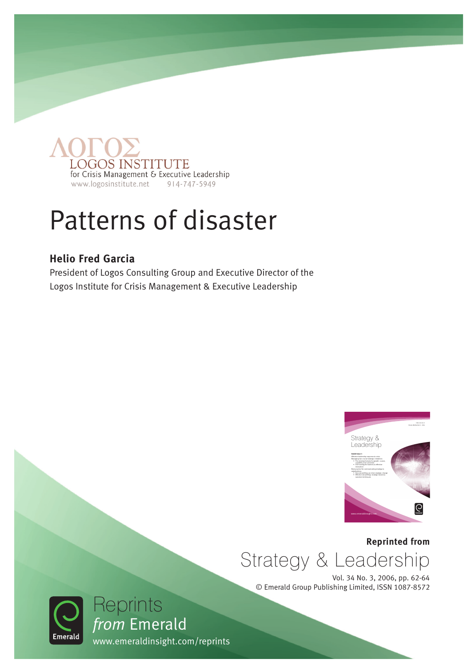

## Patterns of disaster

#### **Helio Fred Garcia**

President of Logos Consulting Group and Executive Director of the Logos Institute for Crisis Management & Executive Leadership



**Reprinted from** Strategy & Leadership

Vol. 34 No. 3, 2006, pp. 62-64 © Emerald Group Publishing Limited, ISSN 1087-8572



*from* Emerald

Reprints

www.emeraldinsight.com/reprints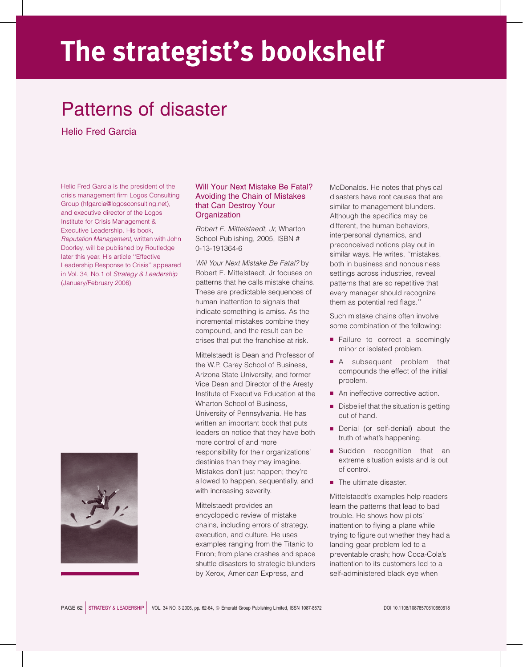# The strategist's bookshelf

### Patterns of disaster

Helio Fred Garcia

Helio Fred Garcia is the president of the crisis management firm Logos Consulting Group (hfgarcia@logosconsulting.net), and executive director of the Logos Institute for Crisis Management & Executive Leadership. His book, Reputation Management, written with John Doorley, will be published by Routledge later this year. His article ''Effective Leadership Response to Crisis'' appeared in Vol. 34, No.1 of Strategy & Leadership (January/February 2006).



#### Will Your Next Mistake Be Fatal? Avoiding the Chain of Mistakes that Can Destroy Your **Organization**

Robert E. Mittelstaedt, Jr, Wharton School Publishing, 2005, ISBN # 0-13-191364-6

Will Your Next Mistake Be Fatal? by Robert E. Mittelstaedt, Jr focuses on patterns that he calls mistake chains. These are predictable sequences of human inattention to signals that indicate something is amiss. As the incremental mistakes combine they compound, and the result can be crises that put the franchise at risk.

Mittelstaedt is Dean and Professor of the W.P. Carey School of Business, Arizona State University, and former Vice Dean and Director of the Aresty Institute of Executive Education at the Wharton School of Business, University of Pennsylvania. He has written an important book that puts leaders on notice that they have both more control of and more responsibility for their organizations' destinies than they may imagine. Mistakes don't just happen; they're allowed to happen, sequentially, and with increasing severity.

Mittelstaedt provides an encyclopedic review of mistake chains, including errors of strategy, execution, and culture. He uses examples ranging from the Titanic to Enron; from plane crashes and space shuttle disasters to strategic blunders by Xerox, American Express, and

McDonalds. He notes that physical disasters have root causes that are similar to management blunders. Although the specifics may be different, the human behaviors, interpersonal dynamics, and preconceived notions play out in similar ways. He writes, ''mistakes, both in business and nonbusiness settings across industries, reveal patterns that are so repetitive that every manager should recognize them as potential red flags.''

Such mistake chains often involve some combination of the following:

- **Failure to correct a seemingly** minor or isolated problem.
- A subsequent problem that compounds the effect of the initial problem.
- An ineffective corrective action.
- $\blacksquare$  Disbelief that the situation is getting out of hand.
- Denial (or self-denial) about the truth of what's happening.
- **B** Sudden recognition that an extreme situation exists and is out of control.
- $\blacksquare$  The ultimate disaster.

Mittelstaedt's examples help readers learn the patterns that lead to bad trouble. He shows how pilots' inattention to flying a plane while trying to figure out whether they had a landing gear problem led to a preventable crash; how Coca-Cola's inattention to its customers led to a self-administered black eye when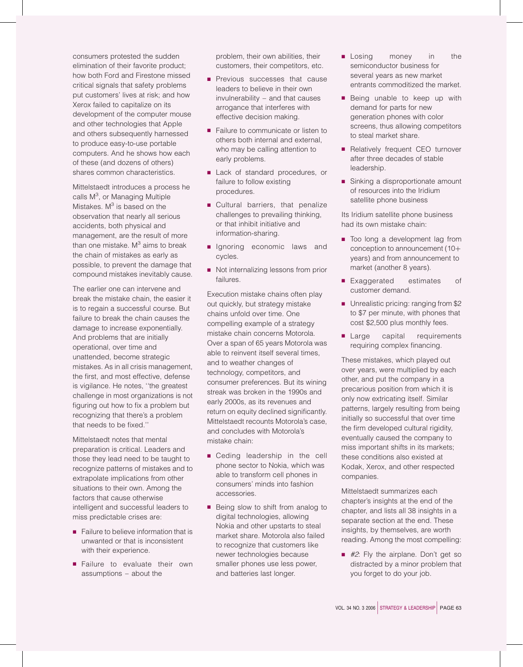consumers protested the sudden elimination of their favorite product; how both Ford and Firestone missed critical signals that safety problems put customers' lives at risk; and how Xerox failed to capitalize on its development of the computer mouse and other technologies that Apple and others subsequently harnessed to produce easy-to-use portable computers. And he shows how each of these (and dozens of others) shares common characteristics.

Mittelstaedt introduces a process he calls M<sup>3</sup>, or Managing Multiple Mistakes.  $M<sup>3</sup>$  is based on the observation that nearly all serious accidents, both physical and management, are the result of more than one mistake.  $M<sup>3</sup>$  aims to break the chain of mistakes as early as possible, to prevent the damage that compound mistakes inevitably cause.

The earlier one can intervene and break the mistake chain, the easier it is to regain a successful course. But failure to break the chain causes the damage to increase exponentially. And problems that are initially operational, over time and unattended, become strategic mistakes. As in all crisis management, the first, and most effective, defense is vigilance. He notes, ''the greatest challenge in most organizations is not figuring out how to fix a problem but recognizing that there's a problem that needs to be fixed.''

Mittelstaedt notes that mental preparation is critical. Leaders and those they lead need to be taught to recognize patterns of mistakes and to extrapolate implications from other situations to their own. Among the factors that cause otherwise intelligent and successful leaders to miss predictable crises are:

- $\blacksquare$  Failure to believe information that is unwanted or that is inconsistent with their experience.
- **B** Failure to evaluate their own assumptions – about the

problem, their own abilities, their customers, their competitors, etc.

- **Previous successes that cause** leaders to believe in their own invulnerability – and that causes arrogance that interferes with effective decision making.
- Failure to communicate or listen to others both internal and external, who may be calling attention to early problems.
- **E** Lack of standard procedures, or failure to follow existing procedures.
- **Cultural barriers, that penalize** challenges to prevailing thinking, or that inhibit initiative and information-sharing.
- **B** Ignoring economic laws and cycles.
- Not internalizing lessons from prior failures.

Execution mistake chains often play out quickly, but strategy mistake chains unfold over time. One compelling example of a strategy mistake chain concerns Motorola. Over a span of 65 years Motorola was able to reinvent itself several times, and to weather changes of technology, competitors, and consumer preferences. But its wining streak was broken in the 1990s and early 2000s, as its revenues and return on equity declined significantly. Mittelstaedt recounts Motorola's case, and concludes with Motorola's mistake chain:

- **B** Ceding leadership in the cell phone sector to Nokia, which was able to transform cell phones in consumers' minds into fashion accessories.
- $\blacksquare$  Being slow to shift from analog to digital technologies, allowing Nokia and other upstarts to steal market share. Motorola also failed to recognize that customers like newer technologies because smaller phones use less power, and batteries last longer.
- **B** Losing money in the semiconductor business for several years as new market entrants commoditized the market.
- **Being unable to keep up with** demand for parts for new generation phones with color screens, thus allowing competitors to steal market share.
- **B** Relatively frequent CEO turnover after three decades of stable leadership.
- B Sinking a disproportionate amount of resources into the Iridium satellite phone business

Its Iridium satellite phone business had its own mistake chain:

- Too long a development lag from conception to announcement (10*þ* years) and from announcement to market (another 8 years).
- **Exaggerated** estimates of customer demand.
- **B** Unrealistic pricing: ranging from \$2 to \$7 per minute, with phones that cost \$2,500 plus monthly fees.
- Large capital requirements requiring complex financing.

These mistakes, which played out over years, were multiplied by each other, and put the company in a precarious position from which it is only now extricating itself. Similar patterns, largely resulting from being initially so successful that over time the firm developed cultural rigidity, eventually caused the company to miss important shifts in its markets; these conditions also existed at Kodak, Xerox, and other respected companies.

Mittelstaedt summarizes each chapter's insights at the end of the chapter, and lists all 38 insights in a separate section at the end. These insights, by themselves, are worth reading. Among the most compelling:

 $\blacksquare$  #2: Fly the airplane. Don't get so distracted by a minor problem that you forget to do your job.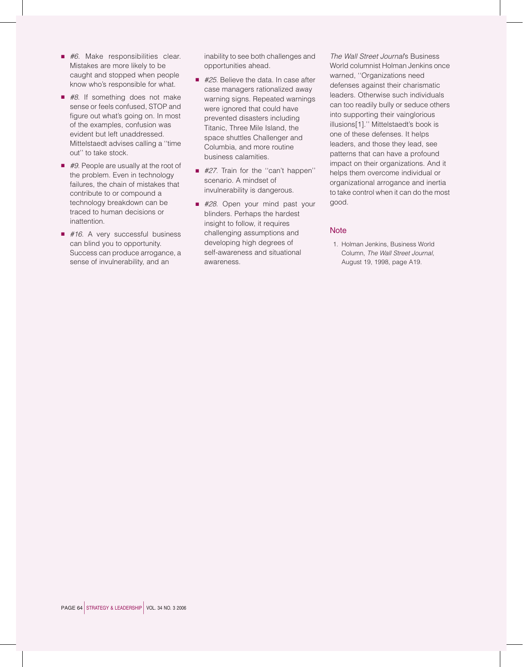- $\blacksquare$  #6. Make responsibilities clear. Mistakes are more likely to be caught and stopped when people know who's responsible for what.
- $\blacksquare$  #8. If something does not make sense or feels confused, STOP and figure out what's going on. In most of the examples, confusion was evident but left unaddressed. Mittelstaedt advises calling a ''time out'' to take stock.
- $\blacksquare$  #9. People are usually at the root of the problem. Even in technology failures, the chain of mistakes that contribute to or compound a technology breakdown can be traced to human decisions or inattention.
- $\blacksquare$  #16. A very successful business can blind you to opportunity. Success can produce arrogance, a sense of invulnerability, and an

inability to see both challenges and opportunities ahead.

- $\blacksquare$  #25. Believe the data. In case after case managers rationalized away warning signs. Repeated warnings were ignored that could have prevented disasters including Titanic, Three Mile Island, the space shuttles Challenger and Columbia, and more routine business calamities.
- #27. Train for the "can't happen" scenario. A mindset of invulnerability is dangerous.
- #28. Open your mind past your blinders. Perhaps the hardest insight to follow, it requires challenging assumptions and developing high degrees of self-awareness and situational awareness.

The Wall Street Journal's Business World columnist Holman Jenkins once warned, ''Organizations need defenses against their charismatic leaders. Otherwise such individuals can too readily bully or seduce others into supporting their vainglorious illusions[1].'' Mittelstaedt's book is one of these defenses. It helps leaders, and those they lead, see patterns that can have a profound impact on their organizations. And it helps them overcome individual or organizational arrogance and inertia to take control when it can do the most good.

#### **Note**

1. Holman Jenkins, Business World Column, The Wall Street Journal, August 19, 1998, page A19.